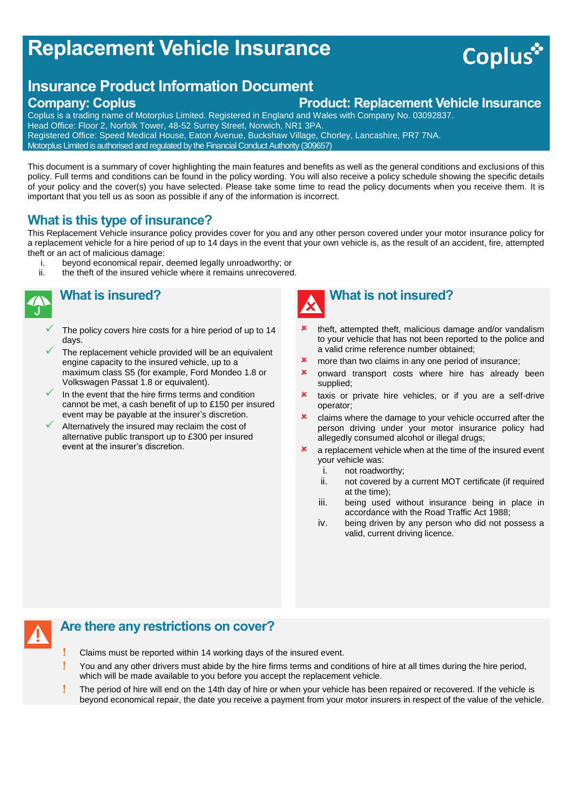# **Replacement Vehicle Insurance**

## **Insurance Product Information Document**

### **Company: Coplus Product: Replacement Vehicle Insurance**

Coplus is a trading name of Motorplus Limited. Registered in England and Wales with Company No. 03092837. Head Office: Floor 2, Norfolk Tower, 48-52 Surrey Street, Norwich, NR1 3PA. Registered Office: Speed Medical House, Eaton Avenue, Buckshaw Village, Chorley, Lancashire, PR7 7NA. Motorplus Limited is authorised and regulated by the Financial Conduct Authority (309657)

This document is a summary of cover highlighting the main features and benefits as well as the general conditions and exclusions of this policy. Full terms and conditions can be found in the policy wording. You will also receive a policy schedule showing the specific details of your policy and the cover(s) you have selected. Please take some time to read the policy documents when you receive them. It is important that you tell us as soon as possible if any of the information is incorrect.

#### **What is this type of insurance?**

This Replacement Vehicle insurance policy provides cover for you and any other person covered under your motor insurance policy for a replacement vehicle for a hire period of up to 14 days in the event that your own vehicle is, as the result of an accident, fire, attempted theft or an act of malicious damage:

- i. beyond economical repair, deemed legally unroadworthy; or ii. the theft of the insured vehicle where it remains unrecovered
	- the theft of the insured vehicle where it remains unrecovered.



### **What is insured?**

- The policy covers hire costs for a hire period of up to 14 days.
- The replacement vehicle provided will be an equivalent engine capacity to the insured vehicle, up to a maximum class S5 (for example, Ford Mondeo 1.8 or Volkswagen Passat 1.8 or equivalent).
- In the event that the hire firms terms and condition cannot be met, a cash benefit of up to £150 per insured event may be payable at the insurer's discretion.
- Alternatively the insured may reclaim the cost of alternative public transport up to £300 per insured event at the insurer's discretion.



- theft, attempted theft, malicious damage and/or vandalism to your vehicle that has not been reported to the police and a valid crime reference number obtained;
- **x** more than two claims in any one period of insurance;
- **x** onward transport costs where hire has already been supplied;
- **x** taxis or private hire vehicles, or if you are a self-drive operator;
- **x** claims where the damage to your vehicle occurred after the person driving under your motor insurance policy had allegedly consumed alcohol or illegal drugs;
- $\boldsymbol{\ast}$  a replacement vehicle when at the time of the insured event your vehicle was:
	- i. not roadworthy;
	- ii. not covered by a current MOT certificate (if required at the time);
	- iii. being used without insurance being in place in accordance with the Road Traffic Act 1988;
	- iv. being driven by any person who did not possess a valid, current driving licence.

#### **Are there any restrictions on cover?**

- Claims must be reported within 14 working days of the insured event.
- You and any other drivers must abide by the hire firms terms and conditions of hire at all times during the hire period, which will be made available to you before you accept the replacement vehicle.
- The period of hire will end on the 14th day of hire or when your vehicle has been repaired or recovered. If the vehicle is beyond economical repair, the date you receive a payment from your motor insurers in respect of the value of the vehicle.